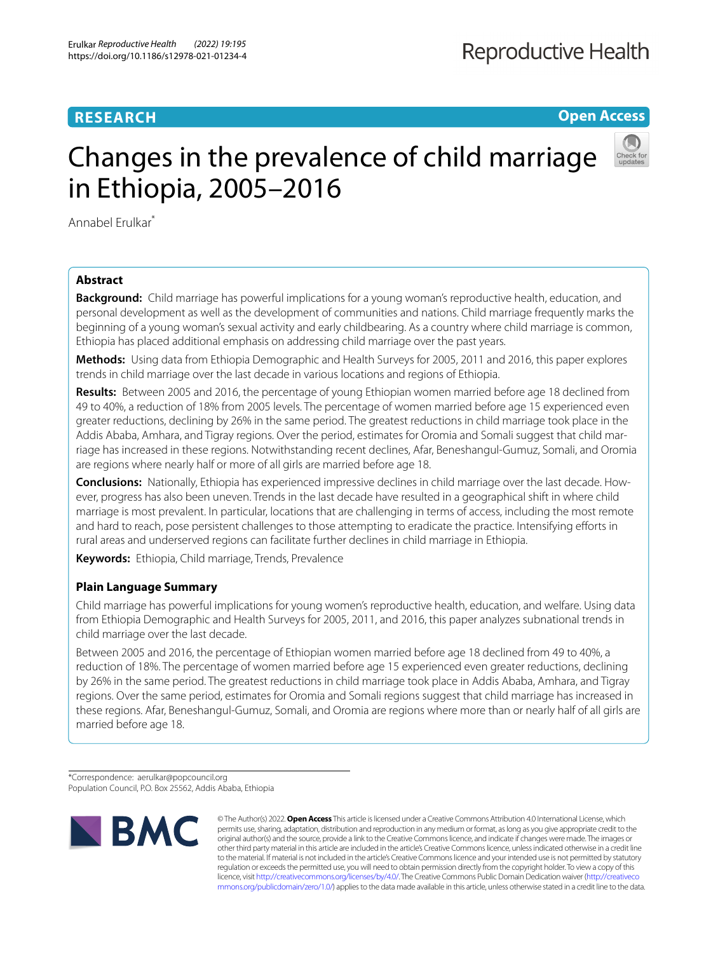# **RESEARCH**

**Open Access**

# Changes in the prevalence of child marriage in Ethiopia, 2005–2016



Annabel Erulkar\*

# **Abstract**

**Background:** Child marriage has powerful implications for a young woman's reproductive health, education, and personal development as well as the development of communities and nations. Child marriage frequently marks the beginning of a young woman's sexual activity and early childbearing. As a country where child marriage is common, Ethiopia has placed additional emphasis on addressing child marriage over the past years.

**Methods:** Using data from Ethiopia Demographic and Health Surveys for 2005, 2011 and 2016, this paper explores trends in child marriage over the last decade in various locations and regions of Ethiopia.

**Results:** Between 2005 and 2016, the percentage of young Ethiopian women married before age 18 declined from 49 to 40%, a reduction of 18% from 2005 levels. The percentage of women married before age 15 experienced even greater reductions, declining by 26% in the same period. The greatest reductions in child marriage took place in the Addis Ababa, Amhara, and Tigray regions. Over the period, estimates for Oromia and Somali suggest that child marriage has increased in these regions. Notwithstanding recent declines, Afar, Beneshangul-Gumuz, Somali, and Oromia are regions where nearly half or more of all girls are married before age 18.

**Conclusions:** Nationally, Ethiopia has experienced impressive declines in child marriage over the last decade. However, progress has also been uneven. Trends in the last decade have resulted in a geographical shift in where child marriage is most prevalent. In particular, locations that are challenging in terms of access, including the most remote and hard to reach, pose persistent challenges to those attempting to eradicate the practice. Intensifying eforts in rural areas and underserved regions can facilitate further declines in child marriage in Ethiopia.

**Keywords:** Ethiopia, Child marriage, Trends, Prevalence

# **Plain Language Summary**

Child marriage has powerful implications for young women's reproductive health, education, and welfare. Using data from Ethiopia Demographic and Health Surveys for 2005, 2011, and 2016, this paper analyzes subnational trends in child marriage over the last decade.

Between 2005 and 2016, the percentage of Ethiopian women married before age 18 declined from 49 to 40%, a reduction of 18%. The percentage of women married before age 15 experienced even greater reductions, declining by 26% in the same period. The greatest reductions in child marriage took place in Addis Ababa, Amhara, and Tigray regions. Over the same period, estimates for Oromia and Somali regions suggest that child marriage has increased in these regions. Afar, Beneshangul-Gumuz, Somali, and Oromia are regions where more than or nearly half of all girls are married before age 18.

\*Correspondence: aerulkar@popcouncil.org Population Council, P.O. Box 25562, Addis Ababa, Ethiopia



© The Author(s) 2022. **Open Access** This article is licensed under a Creative Commons Attribution 4.0 International License, which permits use, sharing, adaptation, distribution and reproduction in any medium or format, as long as you give appropriate credit to the original author(s) and the source, provide a link to the Creative Commons licence, and indicate if changes were made. The images or other third party material in this article are included in the article's Creative Commons licence, unless indicated otherwise in a credit line to the material. If material is not included in the article's Creative Commons licence and your intended use is not permitted by statutory regulation or exceeds the permitted use, you will need to obtain permission directly from the copyright holder. To view a copy of this licence, visit [http://creativecommons.org/licenses/by/4.0/.](http://creativecommons.org/licenses/by/4.0/) The Creative Commons Public Domain Dedication waiver ([http://creativeco](http://creativecommons.org/publicdomain/zero/1.0/) [mmons.org/publicdomain/zero/1.0/](http://creativecommons.org/publicdomain/zero/1.0/)) applies to the data made available in this article, unless otherwise stated in a credit line to the data.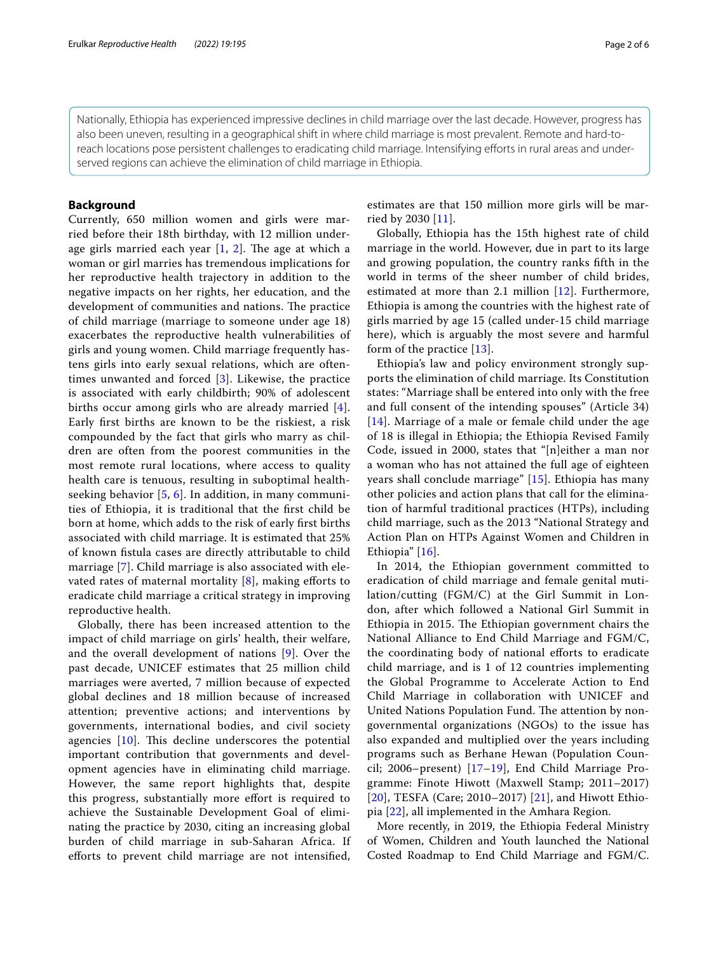Nationally, Ethiopia has experienced impressive declines in child marriage over the last decade. However, progress has also been uneven, resulting in a geographical shift in where child marriage is most prevalent. Remote and hard-toreach locations pose persistent challenges to eradicating child marriage. Intensifying eforts in rural areas and underserved regions can achieve the elimination of child marriage in Ethiopia.

#### **Background**

Currently, 650 million women and girls were married before their 18th birthday, with 12 million underage girls married each year  $[1, 2]$  $[1, 2]$  $[1, 2]$  $[1, 2]$ . The age at which a woman or girl marries has tremendous implications for her reproductive health trajectory in addition to the negative impacts on her rights, her education, and the development of communities and nations. The practice of child marriage (marriage to someone under age 18) exacerbates the reproductive health vulnerabilities of girls and young women. Child marriage frequently hastens girls into early sexual relations, which are oftentimes unwanted and forced [\[3](#page-5-2)]. Likewise, the practice is associated with early childbirth; 90% of adolescent births occur among girls who are already married [[4\]](#page-5-3). Early frst births are known to be the riskiest, a risk compounded by the fact that girls who marry as children are often from the poorest communities in the most remote rural locations, where access to quality health care is tenuous, resulting in suboptimal healthseeking behavior  $[5, 6]$  $[5, 6]$  $[5, 6]$  $[5, 6]$  $[5, 6]$ . In addition, in many communities of Ethiopia, it is traditional that the frst child be born at home, which adds to the risk of early frst births associated with child marriage. It is estimated that 25% of known fstula cases are directly attributable to child marriage [\[7](#page-5-6)]. Child marriage is also associated with elevated rates of maternal mortality  $[8]$  $[8]$ , making efforts to eradicate child marriage a critical strategy in improving reproductive health.

Globally, there has been increased attention to the impact of child marriage on girls' health, their welfare, and the overall development of nations [[9\]](#page-5-8). Over the past decade, UNICEF estimates that 25 million child marriages were averted, 7 million because of expected global declines and 18 million because of increased attention; preventive actions; and interventions by governments, international bodies, and civil society agencies  $[10]$ . This decline underscores the potential important contribution that governments and development agencies have in eliminating child marriage. However, the same report highlights that, despite this progress, substantially more efort is required to achieve the Sustainable Development Goal of eliminating the practice by 2030, citing an increasing global burden of child marriage in sub-Saharan Africa. If eforts to prevent child marriage are not intensifed, estimates are that 150 million more girls will be married by 2030 [\[11\]](#page-5-10).

Globally, Ethiopia has the 15th highest rate of child marriage in the world. However, due in part to its large and growing population, the country ranks ffth in the world in terms of the sheer number of child brides, estimated at more than 2.1 million [[12\]](#page-5-11). Furthermore, Ethiopia is among the countries with the highest rate of girls married by age 15 (called under-15 child marriage here), which is arguably the most severe and harmful form of the practice [[13](#page-5-12)].

Ethiopia's law and policy environment strongly supports the elimination of child marriage. Its Constitution states: "Marriage shall be entered into only with the free and full consent of the intending spouses" (Article 34) [[14](#page-5-13)]. Marriage of a male or female child under the age of 18 is illegal in Ethiopia; the Ethiopia Revised Family Code, issued in 2000, states that "[n]either a man nor a woman who has not attained the full age of eighteen years shall conclude marriage" [[15](#page-5-14)]. Ethiopia has many other policies and action plans that call for the elimination of harmful traditional practices (HTPs), including child marriage, such as the 2013 "National Strategy and Action Plan on HTPs Against Women and Children in Ethiopia" [\[16](#page-5-15)].

In 2014, the Ethiopian government committed to eradication of child marriage and female genital mutilation/cutting (FGM/C) at the Girl Summit in London, after which followed a National Girl Summit in Ethiopia in 2015. The Ethiopian government chairs the National Alliance to End Child Marriage and FGM/C, the coordinating body of national eforts to eradicate child marriage, and is 1 of 12 countries implementing the Global Programme to Accelerate Action to End Child Marriage in collaboration with UNICEF and United Nations Population Fund. The attention by nongovernmental organizations (NGOs) to the issue has also expanded and multiplied over the years including programs such as Berhane Hewan (Population Council; 2006–present) [[17](#page-5-16)–[19](#page-5-17)], End Child Marriage Programme: Finote Hiwott (Maxwell Stamp; 2011–2017) [[20](#page-5-18)], TESFA (Care; 2010–2017) [\[21](#page-5-19)], and Hiwott Ethiopia [\[22](#page-5-20)], all implemented in the Amhara Region.

More recently, in 2019, the Ethiopia Federal Ministry of Women, Children and Youth launched the National Costed Roadmap to End Child Marriage and FGM/C.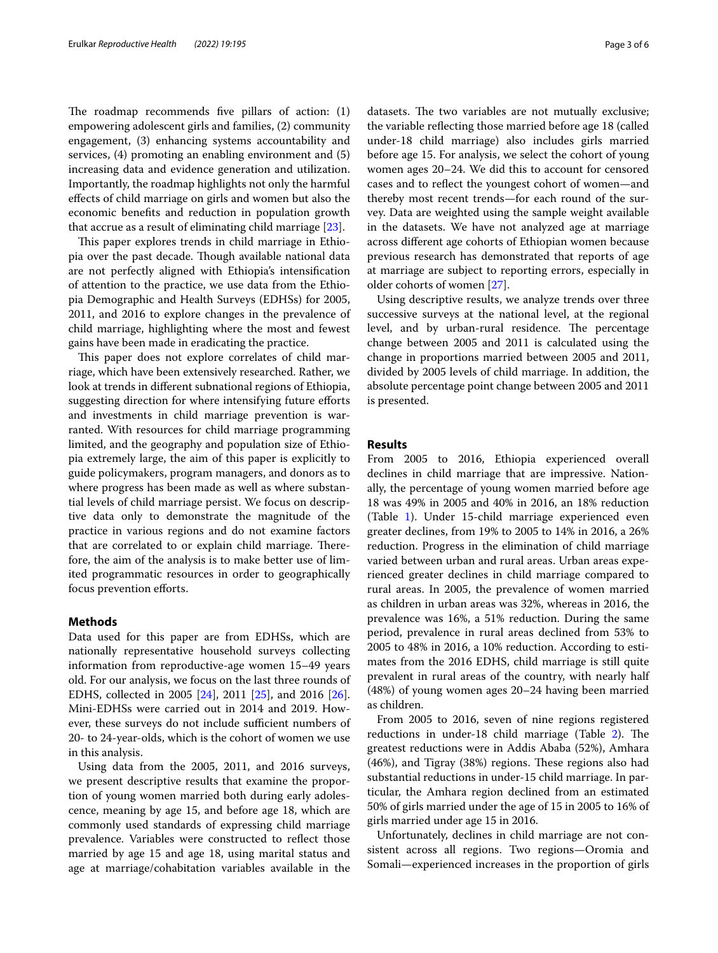The roadmap recommends five pillars of action:  $(1)$ empowering adolescent girls and families, (2) community engagement, (3) enhancing systems accountability and services, (4) promoting an enabling environment and (5) increasing data and evidence generation and utilization. Importantly, the roadmap highlights not only the harmful efects of child marriage on girls and women but also the economic benefts and reduction in population growth that accrue as a result of eliminating child marriage [\[23\]](#page-5-21).

This paper explores trends in child marriage in Ethiopia over the past decade. Though available national data are not perfectly aligned with Ethiopia's intensifcation of attention to the practice, we use data from the Ethiopia Demographic and Health Surveys (EDHSs) for 2005, 2011, and 2016 to explore changes in the prevalence of child marriage, highlighting where the most and fewest gains have been made in eradicating the practice.

This paper does not explore correlates of child marriage, which have been extensively researched. Rather, we look at trends in diferent subnational regions of Ethiopia, suggesting direction for where intensifying future efforts and investments in child marriage prevention is warranted. With resources for child marriage programming limited, and the geography and population size of Ethiopia extremely large, the aim of this paper is explicitly to guide policymakers, program managers, and donors as to where progress has been made as well as where substantial levels of child marriage persist. We focus on descriptive data only to demonstrate the magnitude of the practice in various regions and do not examine factors that are correlated to or explain child marriage. Therefore, the aim of the analysis is to make better use of limited programmatic resources in order to geographically focus prevention efforts.

## **Methods**

Data used for this paper are from EDHSs, which are nationally representative household surveys collecting information from reproductive-age women 15–49 years old. For our analysis, we focus on the last three rounds of EDHS, collected in 2005 [\[24](#page-5-22)], 2011 [\[25](#page-5-23)], and 2016 [\[26](#page-5-24)]. Mini-EDHSs were carried out in 2014 and 2019. However, these surveys do not include sufficient numbers of 20- to 24-year-olds, which is the cohort of women we use in this analysis.

Using data from the 2005, 2011, and 2016 surveys, we present descriptive results that examine the proportion of young women married both during early adolescence, meaning by age 15, and before age 18, which are commonly used standards of expressing child marriage prevalence. Variables were constructed to refect those married by age 15 and age 18, using marital status and age at marriage/cohabitation variables available in the datasets. The two variables are not mutually exclusive; the variable refecting those married before age 18 (called under-18 child marriage) also includes girls married before age 15. For analysis, we select the cohort of young women ages 20–24. We did this to account for censored cases and to refect the youngest cohort of women—and thereby most recent trends—for each round of the survey. Data are weighted using the sample weight available in the datasets. We have not analyzed age at marriage across diferent age cohorts of Ethiopian women because previous research has demonstrated that reports of age at marriage are subject to reporting errors, especially in older cohorts of women [[27\]](#page-5-25).

Using descriptive results, we analyze trends over three successive surveys at the national level, at the regional level, and by urban-rural residence. The percentage change between 2005 and 2011 is calculated using the change in proportions married between 2005 and 2011, divided by 2005 levels of child marriage. In addition, the absolute percentage point change between 2005 and 2011 is presented.

## **Results**

From 2005 to 2016, Ethiopia experienced overall declines in child marriage that are impressive. Nationally, the percentage of young women married before age 18 was 49% in 2005 and 40% in 2016, an 18% reduction (Table [1\)](#page-3-0). Under 15-child marriage experienced even greater declines, from 19% to 2005 to 14% in 2016, a 26% reduction. Progress in the elimination of child marriage varied between urban and rural areas. Urban areas experienced greater declines in child marriage compared to rural areas. In 2005, the prevalence of women married as children in urban areas was 32%, whereas in 2016, the prevalence was 16%, a 51% reduction. During the same period, prevalence in rural areas declined from 53% to 2005 to 48% in 2016, a 10% reduction. According to estimates from the 2016 EDHS, child marriage is still quite prevalent in rural areas of the country, with nearly half (48%) of young women ages 20–24 having been married as children.

From 2005 to 2016, seven of nine regions registered reductions in under-18 child marriage (Table [2\)](#page-3-1). The greatest reductions were in Addis Ababa (52%), Amhara  $(46%)$ , and Tigray  $(38%)$  regions. These regions also had substantial reductions in under-15 child marriage. In particular, the Amhara region declined from an estimated 50% of girls married under the age of 15 in 2005 to 16% of girls married under age 15 in 2016.

Unfortunately, declines in child marriage are not consistent across all regions. Two regions—Oromia and Somali—experienced increases in the proportion of girls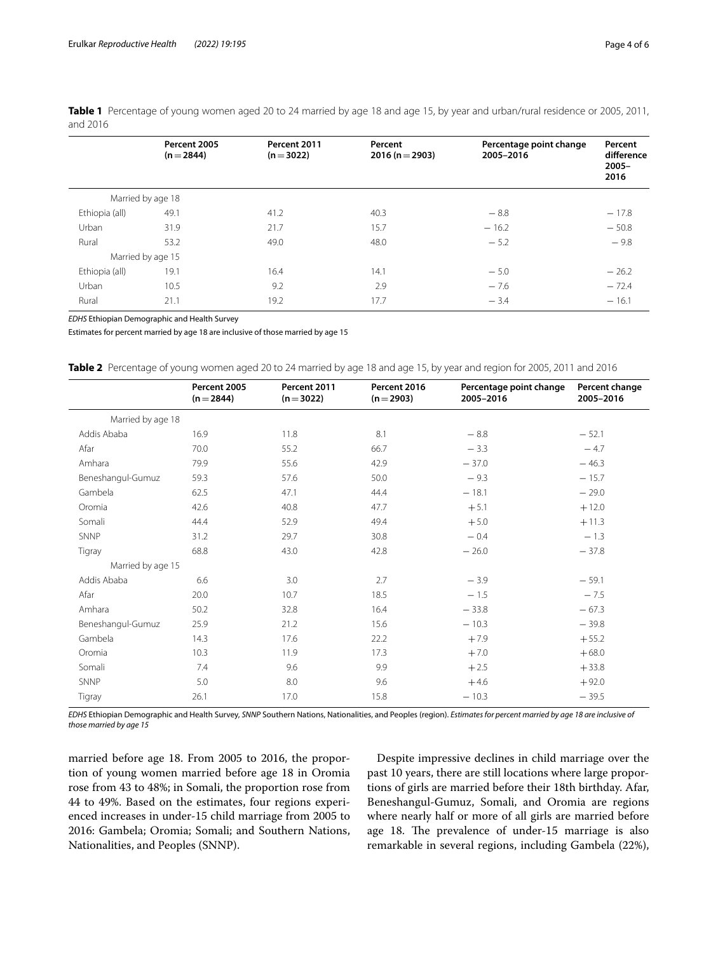|                | Percent 2005<br>$(n=2844)$ | Percent 2011<br>$(n=3022)$ | Percent<br>$2016 (n = 2903)$ | Percentage point change<br>2005-2016 | Percent<br>difference<br>$2005 -$ |
|----------------|----------------------------|----------------------------|------------------------------|--------------------------------------|-----------------------------------|
|                |                            |                            |                              |                                      | 2016                              |
|                | Married by age 18          |                            |                              |                                      |                                   |
| Ethiopia (all) | 49.1                       | 41.2                       | 40.3                         | $-8.8$                               | $-17.8$                           |
| Urban          | 31.9                       | 21.7                       | 15.7                         | $-16.2$                              | $-50.8$                           |
| Rural          | 53.2                       | 49.0                       | 48.0                         | $-5.2$                               | $-9.8$                            |
|                | Married by age 15          |                            |                              |                                      |                                   |
| Ethiopia (all) | 19.1                       | 16.4                       | 14.1                         | $-5.0$                               | $-26.2$                           |
| Urban          | 10.5                       | 9.2                        | 2.9                          | $-7.6$                               | $-72.4$                           |
| Rural          | 21.1                       | 19.2                       | 17.7                         | $-3.4$                               | $-16.1$                           |
|                |                            |                            |                              |                                      |                                   |

<span id="page-3-0"></span>**Table 1** Percentage of young women aged 20 to 24 married by age 18 and age 15, by year and urban/rural residence or 2005, 2011, and 2016

*EDHS* Ethiopian Demographic and Health Survey

Estimates for percent married by age 18 are inclusive of those married by age 15

<span id="page-3-1"></span>

| <b>Table 2</b> Percentage of young women aged 20 to 24 married by age 18 and age 15, by year and region for 2005, 2011 and 2016 |  |
|---------------------------------------------------------------------------------------------------------------------------------|--|
|---------------------------------------------------------------------------------------------------------------------------------|--|

|                   | Percent 2005<br>$(n=2844)$ | Percent 2011<br>$(n=3022)$ | Percent 2016<br>$(n=2903)$ | Percentage point change<br>2005-2016 | Percent change<br>2005-2016 |
|-------------------|----------------------------|----------------------------|----------------------------|--------------------------------------|-----------------------------|
| Married by age 18 |                            |                            |                            |                                      |                             |
| Addis Ababa       | 16.9                       | 11.8                       | 8.1                        | $-8.8$                               | $-52.1$                     |
| Afar              | 70.0                       | 55.2                       | 66.7                       | $-3.3$                               | $-4.7$                      |
| Amhara            | 79.9                       | 55.6                       | 42.9                       | $-37.0$                              | $-46.3$                     |
| Beneshangul-Gumuz | 59.3                       | 57.6                       | 50.0                       | $-9.3$                               | $-15.7$                     |
| Gambela           | 62.5                       | 47.1                       | 44.4                       | $-18.1$                              | $-29.0$                     |
| Oromia            | 42.6                       | 40.8                       | 47.7                       | $+5.1$                               | $+12.0$                     |
| Somali            | 44.4                       | 52.9                       | 49.4                       | $+5.0$                               | $+11.3$                     |
| <b>SNNP</b>       | 31.2                       | 29.7                       | 30.8                       | $-0.4$                               | $-1.3$                      |
| Tigray            | 68.8                       | 43.0                       | 42.8                       | $-26.0$                              | $-37.8$                     |
| Married by age 15 |                            |                            |                            |                                      |                             |
| Addis Ababa       | 6.6                        | 3.0                        | 2.7                        | $-3.9$                               | $-59.1$                     |
| Afar              | 20.0                       | 10.7                       | 18.5                       | $-1.5$                               | $-7.5$                      |
| Amhara            | 50.2                       | 32.8                       | 16.4                       | $-33.8$                              | $-67.3$                     |
| Beneshangul-Gumuz | 25.9                       | 21.2                       | 15.6                       | $-10.3$                              | $-39.8$                     |
| Gambela           | 14.3                       | 17.6                       | 22.2                       | $+7.9$                               | $+55.2$                     |
| Oromia            | 10.3                       | 11.9                       | 17.3                       | $+7.0$                               | $+68.0$                     |
| Somali            | 7.4                        | 9.6                        | 9.9                        | $+2.5$                               | $+33.8$                     |
| <b>SNNP</b>       | 5.0                        | 8.0                        | 9.6                        | $+4.6$                               | $+92.0$                     |
| Tigray            | 26.1                       | 17.0                       | 15.8                       | $-10.3$                              | $-39.5$                     |

*EDHS* Ethiopian Demographic and Health Survey, *SNNP* Southern Nations, Nationalities, and Peoples (region). *Estimates for percent married by age 18 are inclusive of those married by age 15*

married before age 18. From 2005 to 2016, the proportion of young women married before age 18 in Oromia rose from 43 to 48%; in Somali, the proportion rose from 44 to 49%. Based on the estimates, four regions experienced increases in under-15 child marriage from 2005 to 2016: Gambela; Oromia; Somali; and Southern Nations, Nationalities, and Peoples (SNNP).

Despite impressive declines in child marriage over the past 10 years, there are still locations where large proportions of girls are married before their 18th birthday. Afar, Beneshangul-Gumuz, Somali, and Oromia are regions where nearly half or more of all girls are married before age 18. The prevalence of under-15 marriage is also remarkable in several regions, including Gambela (22%),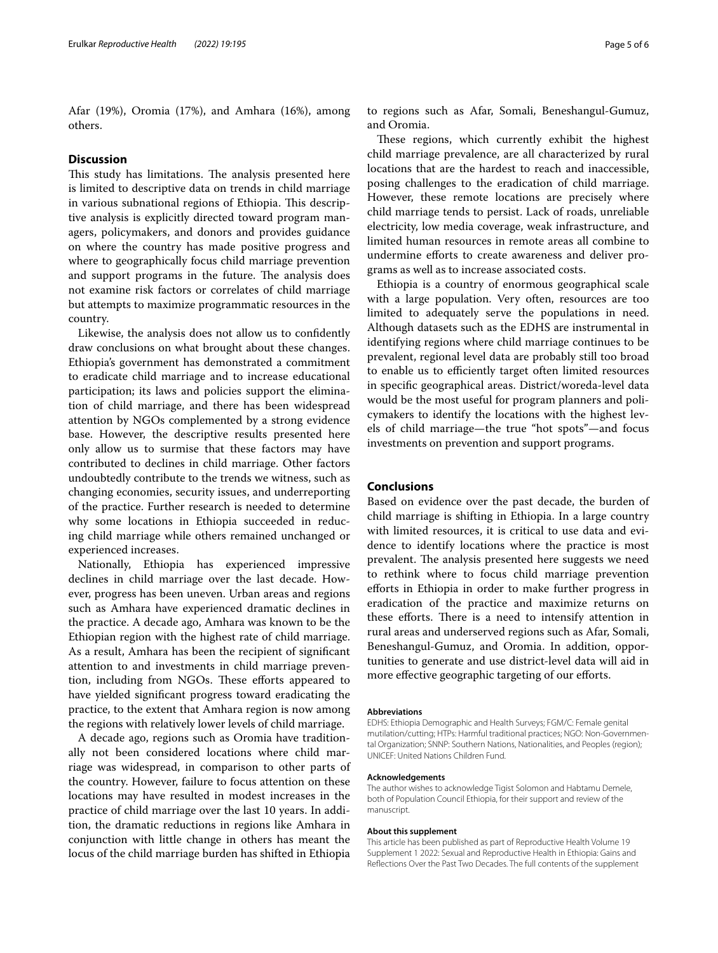Afar (19%), Oromia (17%), and Amhara (16%), among others.

## **Discussion**

This study has limitations. The analysis presented here is limited to descriptive data on trends in child marriage in various subnational regions of Ethiopia. This descriptive analysis is explicitly directed toward program managers, policymakers, and donors and provides guidance on where the country has made positive progress and where to geographically focus child marriage prevention and support programs in the future. The analysis does not examine risk factors or correlates of child marriage but attempts to maximize programmatic resources in the country.

Likewise, the analysis does not allow us to confdently draw conclusions on what brought about these changes. Ethiopia's government has demonstrated a commitment to eradicate child marriage and to increase educational participation; its laws and policies support the elimination of child marriage, and there has been widespread attention by NGOs complemented by a strong evidence base. However, the descriptive results presented here only allow us to surmise that these factors may have contributed to declines in child marriage. Other factors undoubtedly contribute to the trends we witness, such as changing economies, security issues, and underreporting of the practice. Further research is needed to determine why some locations in Ethiopia succeeded in reducing child marriage while others remained unchanged or experienced increases.

Nationally, Ethiopia has experienced impressive declines in child marriage over the last decade. However, progress has been uneven. Urban areas and regions such as Amhara have experienced dramatic declines in the practice. A decade ago, Amhara was known to be the Ethiopian region with the highest rate of child marriage. As a result, Amhara has been the recipient of signifcant attention to and investments in child marriage prevention, including from NGOs. These efforts appeared to have yielded signifcant progress toward eradicating the practice, to the extent that Amhara region is now among the regions with relatively lower levels of child marriage.

A decade ago, regions such as Oromia have traditionally not been considered locations where child marriage was widespread, in comparison to other parts of the country. However, failure to focus attention on these locations may have resulted in modest increases in the practice of child marriage over the last 10 years. In addition, the dramatic reductions in regions like Amhara in conjunction with little change in others has meant the locus of the child marriage burden has shifted in Ethiopia

to regions such as Afar, Somali, Beneshangul-Gumuz, and Oromia.

These regions, which currently exhibit the highest child marriage prevalence, are all characterized by rural locations that are the hardest to reach and inaccessible, posing challenges to the eradication of child marriage. However, these remote locations are precisely where child marriage tends to persist. Lack of roads, unreliable electricity, low media coverage, weak infrastructure, and limited human resources in remote areas all combine to undermine efforts to create awareness and deliver programs as well as to increase associated costs.

Ethiopia is a country of enormous geographical scale with a large population. Very often, resources are too limited to adequately serve the populations in need. Although datasets such as the EDHS are instrumental in identifying regions where child marriage continues to be prevalent, regional level data are probably still too broad to enable us to efficiently target often limited resources in specifc geographical areas. District/woreda-level data would be the most useful for program planners and policymakers to identify the locations with the highest levels of child marriage—the true "hot spots"—and focus investments on prevention and support programs.

## **Conclusions**

Based on evidence over the past decade, the burden of child marriage is shifting in Ethiopia. In a large country with limited resources, it is critical to use data and evidence to identify locations where the practice is most prevalent. The analysis presented here suggests we need to rethink where to focus child marriage prevention eforts in Ethiopia in order to make further progress in eradication of the practice and maximize returns on these efforts. There is a need to intensify attention in rural areas and underserved regions such as Afar, Somali, Beneshangul-Gumuz, and Oromia. In addition, opportunities to generate and use district-level data will aid in more effective geographic targeting of our efforts.

#### **Abbreviations**

EDHS: Ethiopia Demographic and Health Surveys; FGM/C: Female genital mutilation/cutting; HTPs: Harmful traditional practices; NGO: Non-Governmental Organization; SNNP: Southern Nations, Nationalities, and Peoples (region); UNICEF: United Nations Children Fund.

#### **Acknowledgements**

The author wishes to acknowledge Tigist Solomon and Habtamu Demele, both of Population Council Ethiopia, for their support and review of the manuscript.

#### **About this supplement**

This article has been published as part of Reproductive Health Volume 19 Supplement 1 2022: Sexual and Reproductive Health in Ethiopia: Gains and Refections Over the Past Two Decades. The full contents of the supplement